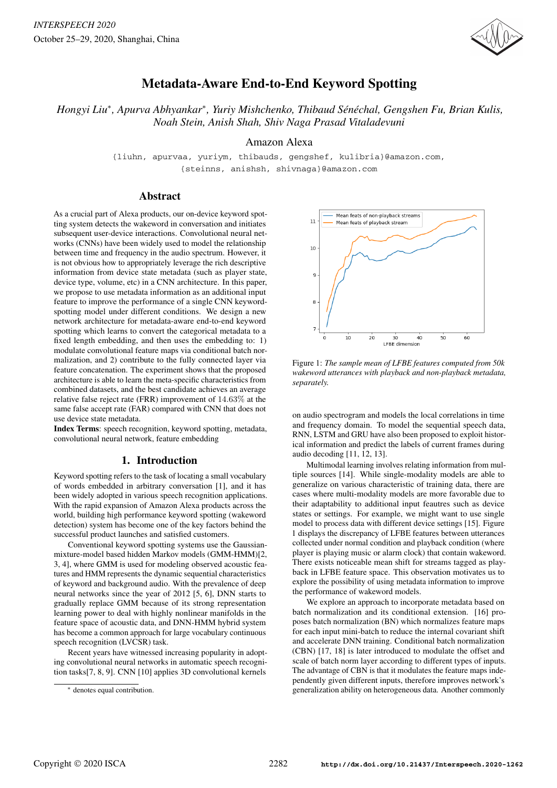

# Metadata-Aware End-to-End Keyword Spotting

*Hongyi Liu*<sup>∗</sup> *, Apurva Abhyankar*<sup>∗</sup> *, Yuriy Mishchenko, Thibaud Sen´ echal, Gengshen Fu, Brian Kulis, ´ Noah Stein, Anish Shah, Shiv Naga Prasad Vitaladevuni*

Amazon Alexa

{liuhn, apurvaa, yuriym, thibauds, gengshef, kulibria}@amazon.com, {steinns, anishsh, shivnaga}@amazon.com

### Abstract

As a crucial part of Alexa products, our on-device keyword spotting system detects the wakeword in conversation and initiates subsequent user-device interactions. Convolutional neural networks (CNNs) have been widely used to model the relationship between time and frequency in the audio spectrum. However, it is not obvious how to appropriately leverage the rich descriptive information from device state metadata (such as player state, device type, volume, etc) in a CNN architecture. In this paper, we propose to use metadata information as an additional input feature to improve the performance of a single CNN keywordspotting model under different conditions. We design a new network architecture for metadata-aware end-to-end keyword spotting which learns to convert the categorical metadata to a fixed length embedding, and then uses the embedding to: 1) modulate convolutional feature maps via conditional batch normalization, and 2) contribute to the fully connected layer via feature concatenation. The experiment shows that the proposed architecture is able to learn the meta-specific characteristics from combined datasets, and the best candidate achieves an average relative false reject rate (FRR) improvement of 14.63% at the same false accept rate (FAR) compared with CNN that does not use device state metadata.

Index Terms: speech recognition, keyword spotting, metadata, convolutional neural network, feature embedding

## 1. Introduction

Keyword spotting refers to the task of locating a small vocabulary of words embedded in arbitrary conversation [1], and it has been widely adopted in various speech recognition applications. With the rapid expansion of Amazon Alexa products across the world, building high performance keyword spotting (wakeword detection) system has become one of the key factors behind the successful product launches and satisfied customers.

Conventional keyword spotting systems use the Gaussianmixture-model based hidden Markov models (GMM-HMM)[2, 3, 4], where GMM is used for modeling observed acoustic features and HMM represents the dynamic sequential characteristics of keyword and background audio. With the prevalence of deep neural networks since the year of 2012 [5, 6], DNN starts to gradually replace GMM because of its strong representation learning power to deal with highly nonlinear manifolds in the feature space of acoustic data, and DNN-HMM hybrid system has become a common approach for large vocabulary continuous speech recognition (LVCSR) task.

Recent years have witnessed increasing popularity in adopting convolutional neural networks in automatic speech recognition tasks[7, 8, 9]. CNN [10] applies 3D convolutional kernels



Figure 1: *The sample mean of LFBE features computed from 50k wakeword utterances with playback and non-playback metadata, separately.*

on audio spectrogram and models the local correlations in time and frequency domain. To model the sequential speech data, RNN, LSTM and GRU have also been proposed to exploit historical information and predict the labels of current frames during audio decoding [11, 12, 13].

Multimodal learning involves relating information from multiple sources [14]. While single-modality models are able to generalize on various characteristic of training data, there are cases where multi-modality models are more favorable due to their adaptability to additional input feautres such as device states or settings. For example, we might want to use single model to process data with different device settings [15]. Figure 1 displays the discrepancy of LFBE features between utterances collected under normal condition and playback condition (where player is playing music or alarm clock) that contain wakeword. There exists noticeable mean shift for streams tagged as playback in LFBE feature space. This observation motivates us to explore the possibility of using metadata information to improve the performance of wakeword models.

We explore an approach to incorporate metadata based on batch normalization and its conditional extension. [16] proposes batch normalization (BN) which normalizes feature maps for each input mini-batch to reduce the internal covariant shift and accelerate DNN training. Conditional batch normalization (CBN) [17, 18] is later introduced to modulate the offset and scale of batch norm layer according to different types of inputs. The advantage of CBN is that it modulates the feature maps independently given different inputs, therefore improves network's generalization ability on heterogeneous data. Another commonly

<sup>∗</sup> denotes equal contribution.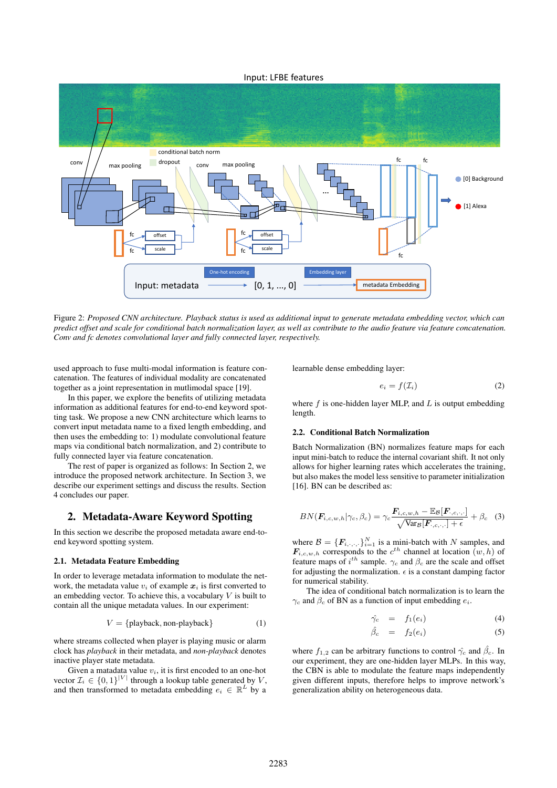### Input: LFBE features



Figure 2: *Proposed CNN architecture. Playback status is used as additional input to generate metadata embedding vector, which can predict offset and scale for conditional batch normalization layer, as well as contribute to the audio feature via feature concatenation. Conv and fc denotes convolutional layer and fully connected layer, respectively.*

used approach to fuse multi-modal information is feature concatenation. The features of individual modality are concatenated together as a joint representation in mutlimodal space [19].

In this paper, we explore the benefits of utilizing metadata information as additional features for end-to-end keyword spotting task. We propose a new CNN architecture which learns to convert input metadata name to a fixed length embedding, and then uses the embedding to: 1) modulate convolutional feature maps via conditional batch normalization, and 2) contribute to fully connected layer via feature concatenation.

The rest of paper is organized as follows: In Section 2, we introduce the proposed network architecture. In Section 3, we describe our experiment settings and discuss the results. Section 4 concludes our paper.

### 2. Metadata-Aware Keyword Spotting

In this section we describe the proposed metadata aware end-toend keyword spotting system.

#### 2.1. Metadata Feature Embedding

In order to leverage metadata information to modulate the network, the metadata value  $v_i$  of example  $x_i$  is first converted to an embedding vector. To achieve this, a vocabulary  $V$  is built to contain all the unique metadata values. In our experiment:

$$
V = \{playback, non-playback\} \tag{1}
$$

where streams collected when player is playing music or alarm clock has *playback* in their metadata, and *non-playback* denotes inactive player state metadata.

Given a matadata value  $v_i$ , it is first encoded to an one-hot vector  $\mathcal{I}_i \in \{0,1\}^{|V|}$  through a lookup table generated by V, and then transformed to metadata embedding  $e_i \in \mathbb{R}^L$  by a

learnable dense embedding layer:

$$
e_i = f(\mathcal{I}_i) \tag{2}
$$

where  $f$  is one-hidden layer MLP, and  $L$  is output embedding length.

#### 2.2. Conditional Batch Normalization

Batch Normalization (BN) normalizes feature maps for each input mini-batch to reduce the internal covariant shift. It not only allows for higher learning rates which accelerates the training, but also makes the model less sensitive to parameter initialization [16]. BN can be described as:

$$
BN(\boldsymbol{F}_{i,c,w,h}|\gamma_c,\beta_c)=\gamma_c \frac{\boldsymbol{F}_{i,c,w,h}-\mathbb{E}_{\mathcal{B}}[\boldsymbol{F}_{\cdot,c,\cdot,\cdot}]}{\sqrt{\text{Var}_{\mathcal{B}}[\boldsymbol{F}_{\cdot,c,\cdot,\cdot}]+\epsilon}}+\beta_c\quad (3)
$$

where  $\mathcal{B} = \{F_{i,\cdot,\cdot,\cdot}\}_{i=1}^N$  is a mini-batch with N samples, and  $\mathbf{F}_{i,c,w,h}$  corresponds to the  $c^{th}$  channel at location  $(w,h)$  of feature maps of  $i^{th}$  sample.  $\gamma_c$  and  $\beta_c$  are the scale and offset for adjusting the normalization.  $\epsilon$  is a constant damping factor for numerical stability.

The idea of conditional batch normalization is to learn the  $\gamma_c$  and  $\beta_c$  of BN as a function of input embedding  $e_i$ .

$$
\hat{\gamma_c} = f_1(e_i) \tag{4}
$$

$$
\hat{\beta}_c = f_2(e_i) \tag{5}
$$

where  $f_{1,2}$  can be arbitrary functions to control  $\hat{\gamma_c}$  and  $\hat{\beta_c}$ . In our experiment, they are one-hidden layer MLPs. In this way, the CBN is able to modulate the feature maps independently given different inputs, therefore helps to improve network's generalization ability on heterogeneous data.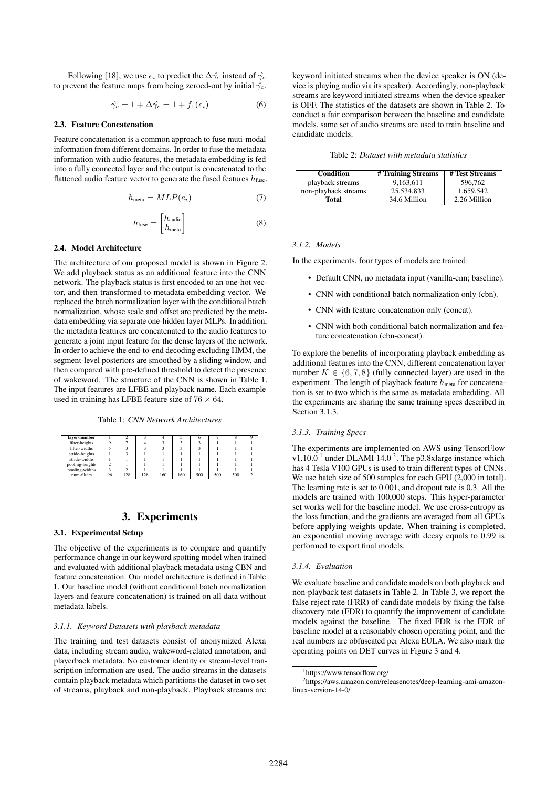Following [18], we use  $e_i$  to predict the  $\Delta \hat{\gamma_c}$  instead of  $\hat{\gamma_c}$ to prevent the feature maps from being zeroed-out by initial  $\hat{\gamma_c}$ .

$$
\hat{\gamma_c} = 1 + \Delta \hat{\gamma_c} = 1 + f_1(e_i) \tag{6}
$$

#### 2.3. Feature Concatenation

Feature concatenation is a common approach to fuse muti-modal information from different domains. In order to fuse the metadata information with audio features, the metadata embedding is fed into a fully connected layer and the output is concatenated to the flattened audio feature vector to generate the fused features  $h_{\text{fuse}}$ .

$$
h_{\text{meta}} = MLP(e_i) \tag{7}
$$

$$
h_{\text{fuse}} = \begin{bmatrix} h_{\text{audio}} \\ h_{\text{meta}} \end{bmatrix}
$$
 (8)

#### 2.4. Model Architecture

The architecture of our proposed model is shown in Figure 2. We add playback status as an additional feature into the CNN network. The playback status is first encoded to an one-hot vector, and then transformed to metadata embedding vector. We replaced the batch normalization layer with the conditional batch normalization, whose scale and offset are predicted by the metadata embedding via separate one-hidden layer MLPs. In addition, the metadata features are concatenated to the audio features to generate a joint input feature for the dense layers of the network. In order to achieve the end-to-end decoding excluding HMM, the segment-level posteriors are smoothed by a sliding window, and then compared with pre-defined threshold to detect the presence of wakeword. The structure of the CNN is shown in Table 1. The input features are LFBE and playback name. Each example used in training has LFBE feature size of  $76 \times 64$ .

Table 1: *CNN Network Architectures*

| laver-number    |    |     |     |     |     |     |     |     |  |
|-----------------|----|-----|-----|-----|-----|-----|-----|-----|--|
| filter-heights  |    |     |     |     |     |     |     |     |  |
| filter-widths   |    |     |     |     |     |     |     |     |  |
| stride-heights  |    |     |     |     |     |     |     |     |  |
| stride-widths   |    |     |     |     |     |     |     |     |  |
| pooling-heights |    |     |     |     |     |     |     |     |  |
| pooling-widths  |    |     |     |     |     |     |     |     |  |
| num-filters     | 96 | 128 | 128 | 160 | 160 | 500 | 500 | 500 |  |

### 3. Experiments

#### 3.1. Experimental Setup

The objective of the experiments is to compare and quantify performance change in our keyword spotting model when trained and evaluated with additional playback metadata using CBN and feature concatenation. Our model architecture is defined in Table 1. Our baseline model (without conditional batch normalization layers and feature concatenation) is trained on all data without metadata labels.

#### *3.1.1. Keyword Datasets with playback metadata*

The training and test datasets consist of anonymized Alexa data, including stream audio, wakeword-related annotation, and playerback metadata. No customer identity or stream-level transcription information are used. The audio streams in the datasets contain playback metadata which partitions the dataset in two set of streams, playback and non-playback. Playback streams are keyword initiated streams when the device speaker is ON (device is playing audio via its speaker). Accordingly, non-playback streams are keyword initiated streams when the device speaker is OFF. The statistics of the datasets are shown in Table 2. To conduct a fair comparison between the baseline and candidate models, same set of audio streams are used to train baseline and candidate models.

| Condition            | # Training Streams | # Test Streams |  |  |
|----------------------|--------------------|----------------|--|--|
| playback streams     | 9.163.611          | 596.762        |  |  |
| non-playback streams | 25.534.833         | 1.659.542      |  |  |
| Total                | 34.6 Million       | 2.26 Million   |  |  |

#### *3.1.2. Models*

In the experiments, four types of models are trained:

- Default CNN, no metadata input (vanilla-cnn; baseline).
- CNN with conditional batch normalization only (cbn).
- CNN with feature concatenation only (concat).
- CNN with both conditional batch normalization and feature concatenation (cbn-concat).

To explore the benefits of incorporating playback embedding as additional features into the CNN, different concatenation layer number  $K \in \{6, 7, 8\}$  (fully connected layer) are used in the experiment. The length of playback feature  $h_{meta}$  for concatenation is set to two which is the same as metadata embedding. All the experiments are sharing the same training specs described in Section 3.1.3.

#### *3.1.3. Training Specs*

The experiments are implemented on AWS using TensorFlow v1.10.0<sup>1</sup> under DLAMI 14.0<sup>2</sup>. The p3.8xlarge instance which has 4 Tesla V100 GPUs is used to train different types of CNNs. We use batch size of 500 samples for each GPU (2,000 in total). The learning rate is set to 0.001, and dropout rate is 0.3. All the models are trained with 100,000 steps. This hyper-parameter set works well for the baseline model. We use cross-entropy as the loss function, and the gradients are averaged from all GPUs before applying weights update. When training is completed, an exponential moving average with decay equals to 0.99 is performed to export final models.

#### *3.1.4. Evaluation*

We evaluate baseline and candidate models on both playback and non-playback test datasets in Table 2. In Table 3, we report the false reject rate (FRR) of candidate models by fixing the false discovery rate (FDR) to quantify the improvement of candidate models against the baseline. The fixed FDR is the FDR of baseline model at a reasonably chosen operating point, and the real numbers are obfuscated per Alexa EULA. We also mark the operating points on DET curves in Figure 3 and 4.

<sup>1</sup>https://www.tensorflow.org/

<sup>2</sup>https://aws.amazon.com/releasenotes/deep-learning-ami-amazonlinux-version-14-0/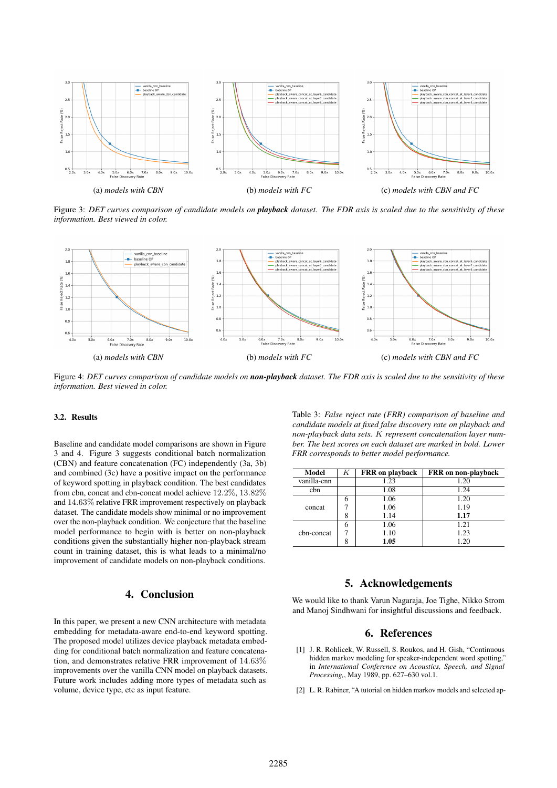

Figure 3: *DET curves comparison of candidate models on playback dataset. The FDR axis is scaled due to the sensitivity of these information. Best viewed in color.*



Figure 4: *DET curves comparison of candidate models on non-playback dataset. The FDR axis is scaled due to the sensitivity of these information. Best viewed in color.*

### 3.2. Results

Baseline and candidate model comparisons are shown in Figure 3 and 4. Figure 3 suggests conditional batch normalization (CBN) and feature concatenation (FC) independently (3a, 3b) and combined (3c) have a positive impact on the performance of keyword spotting in playback condition. The best candidates from cbn, concat and cbn-concat model achieve 12.2%, 13.82% and 14.63% relative FRR improvement respectively on playback dataset. The candidate models show minimal or no improvement over the non-playback condition. We conjecture that the baseline model performance to begin with is better on non-playback conditions given the substantially higher non-playback stream count in training dataset, this is what leads to a minimal/no improvement of candidate models on non-playback conditions.

# 4. Conclusion

In this paper, we present a new CNN architecture with metadata embedding for metadata-aware end-to-end keyword spotting. The proposed model utilizes device playback metadata embedding for conditional batch normalization and feature concatenation, and demonstrates relative FRR improvement of 14.63% improvements over the vanilla CNN model on playback datasets. Future work includes adding more types of metadata such as volume, device type, etc as input feature.

Table 3: *False reject rate (FRR) comparison of baseline and candidate models at fixed false discovery rate on playback and non-playback data sets.* K *represent concatenation layer number. The best scores on each dataset are marked in bold. Lower FRR corresponds to better model performance.*

| Model       |   | <b>FRR</b> on playback | <b>FRR</b> on non-playback |
|-------------|---|------------------------|----------------------------|
| vanilla-cnn |   | 1.23                   | 1.20                       |
| cbn         |   | 1.08                   | 1.24                       |
| concat      |   | 1.06                   | 1.20                       |
|             |   | 1.06                   | 1.19                       |
|             | 8 | 1.14                   | 1.17                       |
| chn-concat  |   | 1.06                   | 1.21                       |
|             |   | 1.10                   | 1.23                       |
|             | 8 | 1.05                   | 1.20                       |

### 5. Acknowledgements

We would like to thank Varun Nagaraja, Joe Tighe, Nikko Strom and Manoj Sindhwani for insightful discussions and feedback.

## 6. References

- [1] J. R. Rohlicek, W. Russell, S. Roukos, and H. Gish, "Continuous hidden markov modeling for speaker-independent word spotting,' in *International Conference on Acoustics, Speech, and Signal Processing,*, May 1989, pp. 627–630 vol.1.
- [2] L. R. Rabiner, "A tutorial on hidden markov models and selected ap-